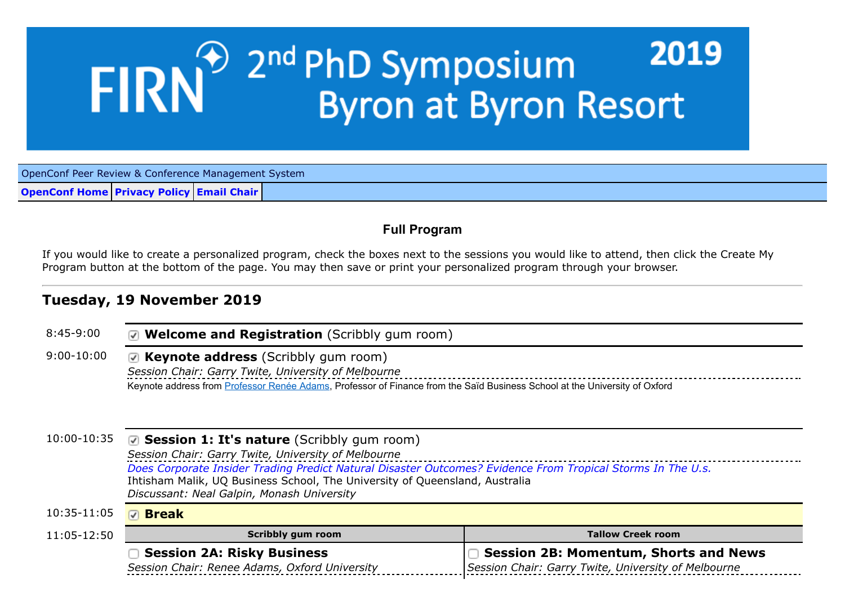# <sup>201</sup> 2<sup>nd</sup> PhD Symposium<br>Byron at Byron Resort 2019 **FIRN**

OpenConf Peer Review & Conference Management System

**[OpenConf Home](https://www.openconf.org/FIRNTOPIC2019/track2/) [Privacy Policy](https://www.openconf.org/FIRNTOPIC2019/track2/author/privacy.php) [Email Chair](https://www.openconf.org/FIRNTOPIC2019/track2/author/contact.php)**

## **Full Program**

If you would like to create a personalized program, check the boxes next to the sessions you would like to attend, then click the Create My Program button at the bottom of the page. You may then save or print your personalized program through your browser.

# **Tuesday, 19 November 2019**

| $8:45-9:00$    | ☑ Welcome and Registration (Scribbly gum room)                                                                                                                                                                                                                                                                                                  |                                                                                                     |  |
|----------------|-------------------------------------------------------------------------------------------------------------------------------------------------------------------------------------------------------------------------------------------------------------------------------------------------------------------------------------------------|-----------------------------------------------------------------------------------------------------|--|
| $9:00 - 10:00$ | Keynote address from Professor Renée Adams, Professor of Finance from the Saïd Business School at the University of Oxford                                                                                                                                                                                                                      |                                                                                                     |  |
| 10:00-10:35    | ☑ Session 1: It's nature (Scribbly gum room)<br>Session Chair: Garry Twite, University of Melbourne<br>Does Corporate Insider Trading Predict Natural Disaster Outcomes? Evidence From Tropical Storms In The U.s.<br>Ihtisham Malik, UQ Business School, The University of Queensland, Australia<br>Discussant: Neal Galpin, Monash University |                                                                                                     |  |
| 10:35-11:05    | <b>D</b> Break                                                                                                                                                                                                                                                                                                                                  |                                                                                                     |  |
| 11:05-12:50    | <b>Scribbly gum room</b>                                                                                                                                                                                                                                                                                                                        | <b>Tallow Creek room</b>                                                                            |  |
|                | <b>Session 2A: Risky Business</b><br>Session Chair: Renee Adams, Oxford University                                                                                                                                                                                                                                                              | <b>Session 2B: Momentum, Shorts and News</b><br>Session Chair: Garry Twite, University of Melbourne |  |